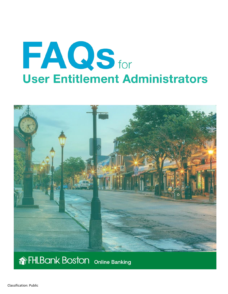# **FAQsfor User Entitlement Administrators**



# **THLBank Boston** Online Banking

Classification: Public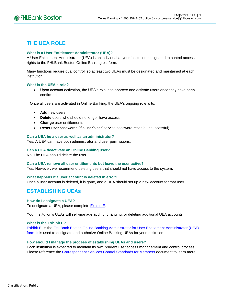# **THE UEA ROLE**

# **What is a User Entitlement Administrator (UEA)?**

A User Entitlement Administrator (UEA) is an individual at your institution designated to control access rights to the FHLBank Boston Online Banking platform.

Many functions require dual control, so at least two UEAs must be designated and maintained at each institution.

# **What is the UEA's role?**

• Upon account activation, the UEA's role is to approve and activate users once they have been confirmed.

Once all users are activated in Online Banking, the UEA's ongoing role is to:

- **Add** new users
- **Delete** users who should no longer have access
- **Change** user entitlements
- **Reset** user passwords (if a user's self-service password reset is unsuccessful)

# **Can a UEA be a user as well as an administrator?**

Yes. A UEA can have both administrator and user permissions.

# **Can a UEA deactivate an Online Banking user?**

No. The UEA should delete the user.

# **Can a UEA remove all user entitlements but leave the user active?**

Yes. However, we recommend deleting users that should not have access to the system.

# **What happens if a user account is deleted in error?**

Once a user account is deleted, it is gone, and a UEA should set up a new account for that user.

# **ESTABLISHING UEAs**

# **How do I designate a UEA?**

To designate a UEA, please complete **Exhibit E**.

Your institution's UEAs will self-manage adding, changing, or deleting additional UEA accounts.

# **What is the Exhibit E?**

[Exhibit E,](http://www.fhlbboston.com/downloads/direct+/schedule_e_olb.pdf) is the [FHLBank Boston Online Banking Administrator for User Entitlement Administrator \(UEA\)](http://www.fhlbboston.com/downloads/direct+/schedule_e_olb.pdf)  [form.](http://www.fhlbboston.com/downloads/direct+/schedule_e_olb.pdf) It is used to designate and authorize Online Banking UEAs for your institution.

# **How should I manage the process of establishing UEAs and users?**

Each institution is expected to maintain its own prudent user access management and control process. Please reference the [Correspondent Services Control Standards for Members](http://www.fhlbboston.com/downloads/direct+/legal_footer.pdf) document to learn more.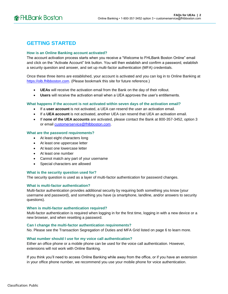# **GETTING STARTED**

# **How is an Online Banking account activated?**

The account activation process starts when you receive a "Welcome to FHLBank Boston Online" email and click on the "Activate Account" link button. You will then establish and confirm a password, establish a security question and answer, and set up multi-factor authentication (MFA) credentials.

Once these three items are established, your account is activated and you can log in to Online Banking at [https://olb.fhlbboston.com.](https://olb.fhlbboston.com/) (Please bookmark this site for future reference.)

- **UEAs** will receive the activation email from the Bank on the day of their rollout.
- **Users** will receive the activation email when a UEA approves the user's entitlements.

# **What happens if the account is not activated within seven days of the activation email?**

- If a **user account** is not activated, a UEA can resend the user an activation email.
- If a **UEA account** is not activated, another UEA can resend that UEA an activation email.
- If **none of the UEA accounts** are activated, please contact the Bank at 800-357-3452, option 3 or email [customerservice@fhlbboston.com.](mailto:customerservice@fhlbboston.com)

# **What are the password requirements?**

- At least eight characters long
- At least one uppercase letter
- At least one lowercase letter
- At least one number
- Cannot match any part of your username
- Special characters are allowed

# **What is the security question used for?**

The security question is used as a layer of multi-factor authentication for password changes.

# **What is multi-factor authentication?**

Multi-factor authentication provides additional security by requiring both something you know (your username and password), and something you have (a smartphone, landline, and/or answers to security questions).

# **When is multi-factor authentication required?**

Multi-factor authentication is required when logging in for the first time, logging in with a new device or a new browser, and when resetting a password.

# **Can I change the multi-factor authentication requirements?**

No. Please see the Transaction Segregation of Duties and MFA Grid listed on page 6 to learn more.

# **What number should I use for my voice call authentication?**

Either an office phone or a mobile phone can be used for the voice call authentication. However, extensions will not work with Online Banking.

If you think you'll need to access Online Banking while away from the office, or if you have an extension in your office phone number, we recommend you use your mobile phone for voice authentication.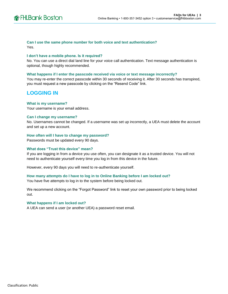# **Can I use the same phone number for both voice and text authentication?**

Yes.

# **I don't have a mobile phone. Is it required?**

No. You can use a direct dial land line for your voice call authentication. Text message authentication is optional, though highly recommended.

# **What happens if I enter the passcode received via voice or text message incorrectly?**

You may re-enter the correct passcode within 30 seconds of receiving it. After 30 seconds has transpired, you must request a new passcode by clicking on the "Resend Code" link.

# **LOGGING IN**

# **What is my username?**

Your username is your email address.

# **Can I change my username?**

No. Usernames cannot be changed. If a username was set up incorrectly, a UEA must delete the account and set up a new account.

# **How often will I have to change my password?**

Passwords must be updated every 90 days.

# **What does "Trust this device" mean?**

If you are logging in from a device you use often, you can designate it as a trusted device. You will not need to authenticate yourself every time you log in from this device in the future.

However, every 90 days you will need to re-authenticate yourself.

# **How many attempts do I have to log in to Online Banking before I am locked out?**

You have five attempts to log in to the system before being locked out.

We recommend clicking on the "Forgot Password" link to reset your own password prior to being locked out.

# **What happens if I am locked out?**

A UEA can send a user (or another UEA) a password reset email.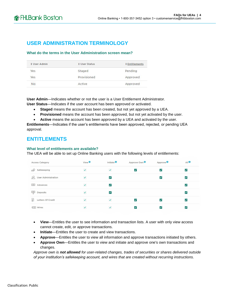# **USER ADMINISTRATION TERMINOLOGY**

# **What do the terms in the User Administration screen mean?**

| <b>1 User Admin</b> | <b>1 User Status</b> | <b>1 Entitlements</b> |  |
|---------------------|----------------------|-----------------------|--|
| Yes                 | Staged               | Pending               |  |
| Yes                 | Provisioned          | Approved              |  |
| <b>No</b>           | Active               | Approved              |  |
|                     |                      |                       |  |

**User Admin**—Indicates whether or not the user is a User Entitlement Administrator.

**User Status**—Indicates if the user account has been approved or activated.

- **Staged** means the account has been created, but not yet approved by a UEA.
- **Provisioned** means the account has been approved, but not yet activated by the user.
- **Active** means the account has been approved by a UEA and activated by the user.

**Entitlements**—Indicates if the user's entitlements have been approved, rejected, or pending UEA approval.

# **ENTITLEMENTS**

# **What level of entitlements are available?**

The UEA will be able to set up Online Banking users with the following levels of entitlements:

| <b>Access Category</b>  | View <sup>0</sup>    | Initiate <sup>O</sup>       | Approve Own <sup>0</sup> | Approve <sup>0</sup>     | All <sup>0</sup>     |
|-------------------------|----------------------|-----------------------------|--------------------------|--------------------------|----------------------|
| Safekeeping             | $\blacktriangledown$ | $\blacktriangledown$        | է                        | $\vert \checkmark \vert$ | ∨                    |
| User Administration     | $\checkmark$         | $\vert\bm{\checkmark}\vert$ |                          | $\vert\checkmark\vert$   | ∨                    |
| $\circledcirc$ Advances | $\blacktriangledown$ | $\vert \checkmark$          |                          |                          | $\blacktriangledown$ |
| Deposits                | $\checkmark$         | $\blacktriangledown$        |                          |                          | √                    |
| E<br>Letters Of Credit  | $\checkmark$         | $\checkmark$                | է                        | ✓                        | է                    |
| <b>ての】 Wires</b>        | ✔                    |                             | ✓                        | $\blacktriangledown$     | $\blacktriangledown$ |

- **View**—Entitles the user to see information and transaction lists. A user with only view access cannot create, edit, or approve transactions.
- **Initiate**—Entitles the user to create and view transactions.
- **Approve**—Entitles the user to view all information and approve transactions initiated by others.
- **Approve Own**—Entitles the user to view and initiate and approve one's own transactions and changes.

*Approve own is not allowed for user-related changes, trades of securities or shares delivered outside of your institution's safekeeping account, and wires that are created without recurring instructions.*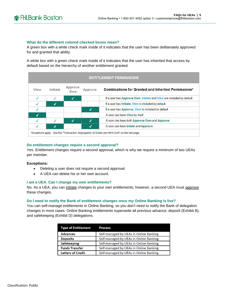### **What do the different colored checked boxes mean?**

A green box with a white check mark inside of it indicates that the user has been deliberately approved for and granted that ability.

A white box with a green check mark inside of it indicates that the user has inherited that access by default based on the hierarchy of another entitlement granted.

| <b>ENTITLEMENT PERMISSIONS</b> |          |                       |         |                                                                             |
|--------------------------------|----------|-----------------------|---------|-----------------------------------------------------------------------------|
| View                           | Initiate | Approve<br><b>Own</b> | Approve | <b>Combinations for Granted and Inherited Permissions*</b>                  |
|                                |          | $\boldsymbol{J}$      |         | If a user has Approve Own, <i>Initiate</i> and View are included by default |
|                                |          |                       |         | If a user has Initiate, View is included by default                         |
|                                |          |                       |         | If a user has Approve. View is included by default                          |
| $\bm{J}$                       |          |                       |         | A user can have View by itself                                              |
|                                |          | $\overline{J}$        |         | A user can have both Approve Own and Approve                                |
|                                | √        |                       |         | A user can have Intiate and Approve                                         |

# **Do entitlement changes require a second approval?**

Yes. Entitlement changes require a second approval, which is why we require a minimum of two UEAs per member.

### **Exceptions:**

- Deleting a user does not require a second approval.
- A UEA can delete his or her own account.

### **I am a UEA. Can I change my own entitlements?**

No. As a UEA, you can initiate changes to your own entitlements; however, a second UEA must approve these changes.

### **Do I need to notify the Bank of entitlement changes once my Online Banking is live?**

You can self-manage entitlements in Online Banking, so you don't need to notify the Bank of delegation changes in most cases. Online Banking entitlements supersede all previous advance, deposit (Exhibit B), and safekeeping (Exhibit D) delegations.

| <b>Type of Entitlement</b> | <b>Process</b>                         |  |
|----------------------------|----------------------------------------|--|
| <b>Advances</b>            | Self-managed by UEAs in Online Banking |  |
| <b>Deposits</b>            | Self-managed by UEAs in Online Banking |  |
| <b>Safekeeping</b>         | Self-managed by UEAs in Online Banking |  |
| <b>Funds Transfer</b>      | Self-managed by UEAs in Online Banking |  |
| <b>Letters of Credit</b>   | Self-managed by UEAs in Online Banking |  |